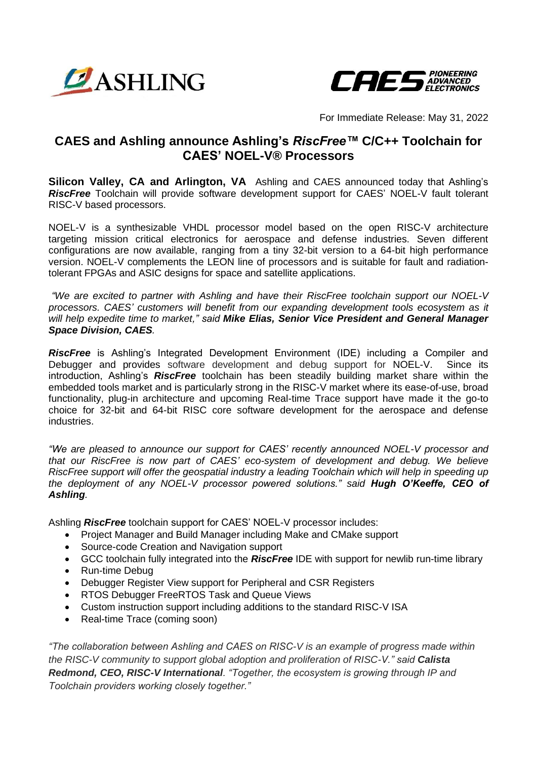



For Immediate Release: May 31, 2022

## **CAES and Ashling announce Ashling's** *RiscFree™* **C/C++ Toolchain for CAES' NOEL-V® Processors**

**Silicon Valley, CA and Arlington, VA** Ashling and CAES announced today that Ashling's *RiscFree* Toolchain will provide software development support for CAES' NOEL-V fault tolerant RISC-V based processors.

NOEL-V is a synthesizable VHDL processor model based on the open RISC-V architecture targeting mission critical electronics for aerospace and defense industries. Seven different configurations are now available, ranging from a tiny 32-bit version to a 64-bit high performance version. NOEL-V complements the LEON line of processors and is suitable for fault and radiationtolerant FPGAs and ASIC designs for space and satellite applications.

*"We are excited to partner with Ashling and have their RiscFree toolchain support our NOEL-V processors. CAES' customers will benefit from our expanding development tools ecosystem as it will help expedite time to market," said Mike Elias, Senior Vice President and General Manager Space Division, CAES.*

*RiscFree* is Ashling's Integrated Development Environment (IDE) including a Compiler and Debugger and provides software development and debug support for NOEL-V. Since its introduction, Ashling's *RiscFree* toolchain has been steadily building market share within the embedded tools market and is particularly strong in the RISC-V market where its ease-of-use, broad functionality, plug-in architecture and upcoming Real-time Trace support have made it the go-to choice for 32-bit and 64-bit RISC core software development for the aerospace and defense industries.

*"We are pleased to announce our support for CAES' recently announced NOEL-V processor and that our RiscFree is now part of CAES' eco-system of development and debug. We believe RiscFree support will offer the geospatial industry a leading Toolchain which will help in speeding up the deployment of any NOEL-V processor powered solutions." said Hugh O'Keeffe, CEO of Ashling.*

Ashling *RiscFree* toolchain support for CAES' NOEL-V processor includes:

- Project Manager and Build Manager including Make and CMake support
- Source-code Creation and Navigation support
- GCC toolchain fully integrated into the *RiscFree* IDE with support for newlib run-time library
- Run-time Debug
- Debugger Register View support for Peripheral and CSR Registers
- RTOS Debugger FreeRTOS Task and Queue Views
- Custom instruction support including additions to the standard RISC-V ISA
- Real-time Trace (coming soon)

*"The collaboration between Ashling and CAES on RISC-V is an example of progress made within the RISC-V community to support global adoption and proliferation of RISC-V." said Calista Redmond, CEO, RISC-V International. "Together, the ecosystem is growing through IP and Toolchain providers working closely together."*